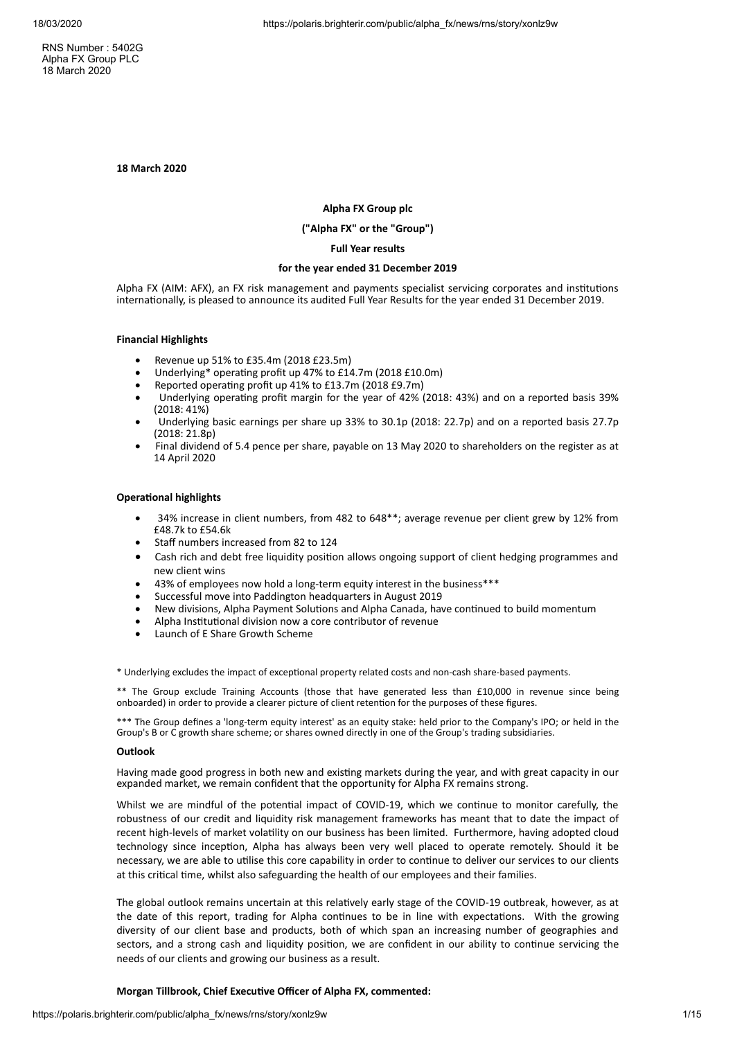RNS Number : 5402G Alpha FX Group PLC 18 March 2020

**18 March 2020**

## **Alpha FX Group plc**

## **("Alpha FX" or the "Group")**

## **Full Year results**

#### **for the year ended 31 December 2019**

Alpha FX (AIM: AFX), an FX risk management and payments specialist servicing corporates and institutions internationally, is pleased to announce its audited Full Year Results for the year ended 31 December 2019.

## **Financial Highlights**

- · Revenue up 51% to £35.4m (2018 £23.5m)
- Underlying\* operating profit up 47% to £14.7m (2018 £10.0m)
- Reported operating profit up 41% to £13.7m (2018 £9.7m)
- Underlying operating profit margin for the year of 42% (2018: 43%) and on a reported basis 39% (2018: 41%)
- Underlying basic earnings per share up 33% to 30.1p (2018: 22.7p) and on a reported basis 27.7p (2018: 21.8p)
- · Final dividend of 5.4 pence per share, payable on 13 May 2020 to shareholders on the register as at 14 April 2020

#### **Operational highlights**

- · 34% increase in client numbers, from 482 to 648\*\*; average revenue per client grew by 12% from £48.7k to £54.6k
- Staff numbers increased from 82 to 124
- Cash rich and debt free liquidity position allows ongoing support of client hedging programmes and new client wins
- 43% of employees now hold a long-term equity interest in the business\*\*\*
- · Successful move into Paddington headquarters in August 2019
- New divisions, Alpha Payment Solutions and Alpha Canada, have continued to build momentum
- Alpha Institutional division now a core contributor of revenue
- Launch of E Share Growth Scheme

\* Underlying excludes the impact of exceptional property related costs and non-cash share-based payments.

\*\* The Group exclude Training Accounts (those that have generated less than £10,000 in revenue since being onboarded) in order to provide a clearer picture of client retention for the purposes of these figures.

\*\*\* The Group defines a 'long-term equity interest' as an equity stake: held prior to the Company's IPO; or held in the Group's B or C growth share scheme; or shares owned directly in one of the Group's trading subsidiaries.

## **Outlook**

Having made good progress in both new and existing markets during the year, and with great capacity in our expanded market, we remain confident that the opportunity for Alpha FX remains strong.

Whilst we are mindful of the potential impact of COVID-19, which we continue to monitor carefully, the robustness of our credit and liquidity risk management frameworks has meant that to date the impact of recent high-levels of market volatility on our business has been limited. Furthermore, having adopted cloud technology since inception, Alpha has always been very well placed to operate remotely. Should it be necessary, we are able to utilise this core capability in order to continue to deliver our services to our clients at this critical time, whilst also safeguarding the health of our employees and their families.

The global outlook remains uncertain at this relatively early stage of the COVID-19 outbreak, however, as at the date of this report, trading for Alpha continues to be in line with expectations. With the growing diversity of our client base and products, both of which span an increasing number of geographies and sectors, and a strong cash and liquidity position, we are confident in our ability to continue servicing the needs of our clients and growing our business as a result.

## **Morgan Tillbrook, Chief Executive Officer of Alpha FX, commented:**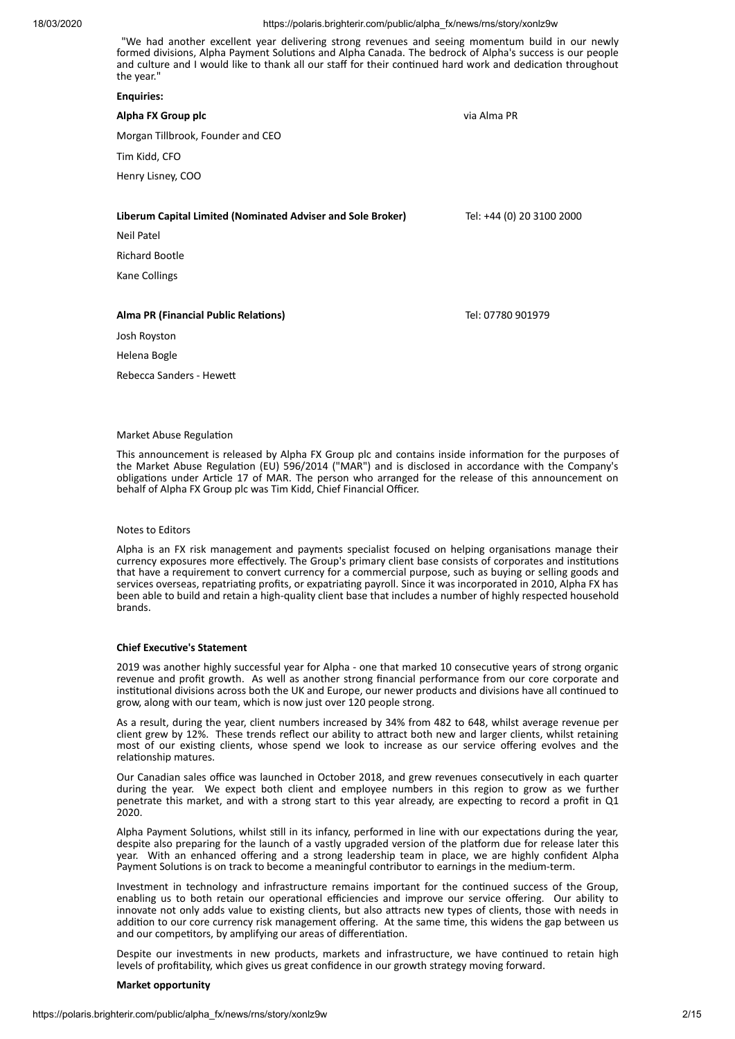"We had another excellent year delivering strong revenues and seeing momentum build in our newly formed divisions. Alpha Payment Solutions and Alpha Canada. The bedrock of Alpha's success is our people and culture and I would like to thank all our staff for their continued hard work and dedication throughout the year."

#### **Enquiries:**

# **Alpha FX Group plc** via Alma PR Morgan Tillbrook, Founder and CEO Tim Kidd, CFO Henry Lisney, COO **Liberum Capital Limited (Nominated Adviser and Sole Broker)** Tel: +44 (0) 20 3100 2000 Neil Patel Richard Bootle Kane Collings

## **Alma PR (Financial Public Relaons)** Tel: 07780 901979

Josh Royston

Helena Bogle

Rebecca Sanders - Hewe

#### Market Abuse Regulation

This announcement is released by Alpha FX Group plc and contains inside information for the purposes of the Market Abuse Regulation (EU) 596/2014 ("MAR") and is disclosed in accordance with the Company's obligations under Article 17 of MAR. The person who arranged for the release of this announcement on behalf of Alpha FX Group plc was Tim Kidd, Chief Financial Officer.

#### Notes to Editors

Alpha is an FX risk management and payments specialist focused on helping organisations manage their currency exposures more effectively. The Group's primary client base consists of corporates and institutions that have a requirement to convert currency for a commercial purpose, such as buying or selling goods and services overseas, repatriating profits, or expatriating payroll. Since it was incorporated in 2010, Alpha FX has been able to build and retain a high-quality client base that includes a number of highly respected household brands.

#### **Chief Executive's Statement**

2019 was another highly successful year for Alpha - one that marked 10 consecutive years of strong organic revenue and profit growth. As well as another strong financial performance from our core corporate and institutional divisions across both the UK and Europe, our newer products and divisions have all continued to grow, along with our team, which is now just over 120 people strong.

As a result, during the year, client numbers increased by 34% from 482 to 648, whilst average revenue per client grew by 12%. These trends reflect our ability to attract both new and larger clients, whilst retaining most of our existing clients, whose spend we look to increase as our service offering evolves and the relationship matures.

Our Canadian sales office was launched in October 2018, and grew revenues consecutively in each quarter during the year. We expect both client and employee numbers in this region to grow as we further penetrate this market, and with a strong start to this year already, are expecting to record a profit in Q1 2020.

Alpha Payment Solutions, whilst still in its infancy, performed in line with our expectations during the year, despite also preparing for the launch of a vastly upgraded version of the platform due for release later this year. With an enhanced offering and a strong leadership team in place, we are highly confident Alpha Payment Solutions is on track to become a meaningful contributor to earnings in the medium-term.

Investment in technology and infrastructure remains important for the continued success of the Group, enabling us to both retain our operational efficiencies and improve our service offering. Our ability to innovate not only adds value to existing clients, but also attracts new types of clients, those with needs in addition to our core currency risk management offering. At the same time, this widens the gap between us and our competitors, by amplifying our areas of differentiation.

Despite our investments in new products, markets and infrastructure, we have continued to retain high levels of profitability, which gives us great confidence in our growth strategy moving forward.

#### **Market opportunity**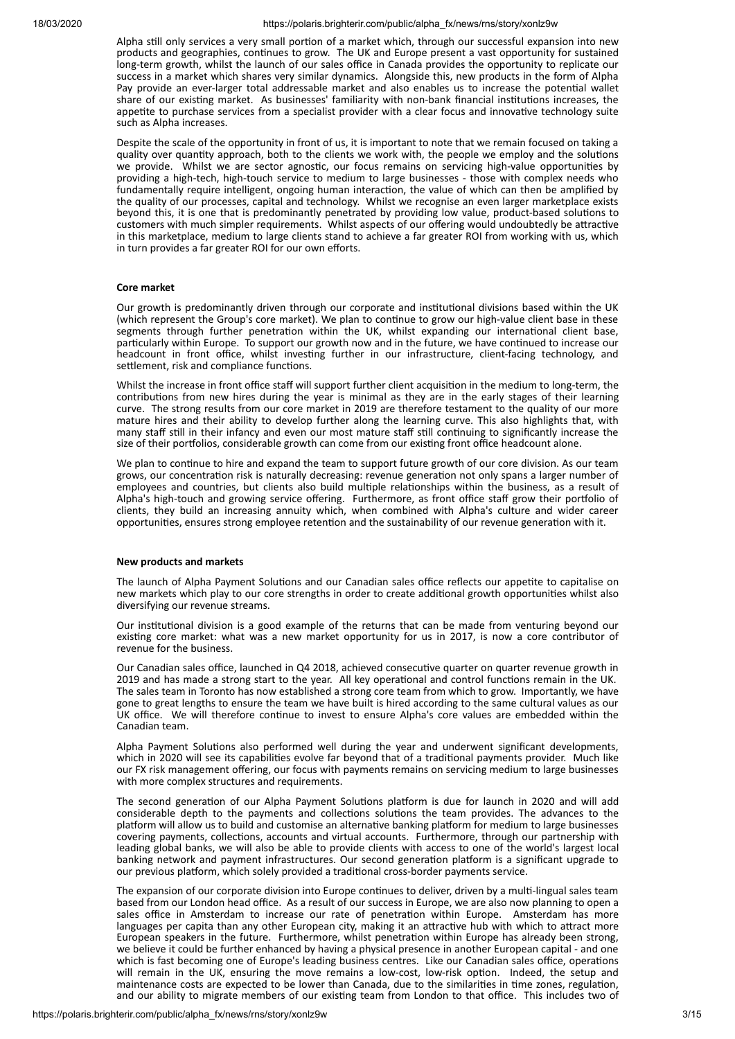Alpha still only services a very small portion of a market which, through our successful expansion into new products and geographies, continues to grow. The UK and Europe present a vast opportunity for sustained long-term growth, whilst the launch of our sales office in Canada provides the opportunity to replicate our success in a market which shares very similar dynamics. Alongside this, new products in the form of Alpha Pay provide an ever-larger total addressable market and also enables us to increase the potential wallet share of our existing market. As businesses' familiarity with non-bank financial institutions increases, the appetite to purchase services from a specialist provider with a clear focus and innovative technology suite such as Alpha increases.

Despite the scale of the opportunity in front of us, it is important to note that we remain focused on taking a quality over quantity approach, both to the clients we work with, the people we employ and the solutions we provide. Whilst we are sector agnostic, our focus remains on servicing high-value opportunities by providing a high-tech, high-touch service to medium to large businesses - those with complex needs who fundamentally require intelligent, ongoing human interaction, the value of which can then be amplified by the quality of our processes, capital and technology. Whilst we recognise an even larger marketplace exists beyond this, it is one that is predominantly penetrated by providing low value, product-based solutions to customers with much simpler requirements. Whilst aspects of our offering would undoubtedly be attractive in this marketplace, medium to large clients stand to achieve a far greater ROI from working with us, which in turn provides a far greater ROI for our own efforts.

#### **Core market**

Our growth is predominantly driven through our corporate and institutional divisions based within the UK (which represent the Group's core market). We plan to continue to grow our high-value client base in these segments through further penetration within the UK, whilst expanding our international client base, particularly within Europe. To support our growth now and in the future, we have continued to increase our headcount in front office, whilst investing further in our infrastructure, client-facing technology, and settlement, risk and compliance functions.

Whilst the increase in front office staff will support further client acquision in the medium to long-term, the contributions from new hires during the year is minimal as they are in the early stages of their learning curve. The strong results from our core market in 2019 are therefore testament to the quality of our more mature hires and their ability to develop further along the learning curve. This also highlights that, with many staff still in their infancy and even our most mature staff still continuing to significantly increase the size of their portfolios, considerable growth can come from our existing front office headcount alone.

We plan to continue to hire and expand the team to support future growth of our core division. As our team grows, our concentration risk is naturally decreasing: revenue generation not only spans a larger number of employees and countries, but clients also build multiple relationships within the business, as a result of Alpha's high-touch and growing service offering. Furthermore, as front office staff grow their portfolio of clients, they build an increasing annuity which, when combined with Alpha's culture and wider career opportunities, ensures strong employee retention and the sustainability of our revenue generation with it.

## **New products and markets**

The launch of Alpha Payment Solutions and our Canadian sales office reflects our appetite to capitalise on new markets which play to our core strengths in order to create additional growth opportunities whilst also diversifying our revenue streams.

Our institutional division is a good example of the returns that can be made from venturing beyond our existing core market: what was a new market opportunity for us in 2017, is now a core contributor of revenue for the business.

Our Canadian sales office, launched in Q4 2018, achieved consecutive quarter on quarter revenue growth in 2019 and has made a strong start to the year. All key operational and control functions remain in the UK. The sales team in Toronto has now established a strong core team from which to grow. Importantly, we have gone to great lengths to ensure the team we have built is hired according to the same cultural values as our UK office. We will therefore continue to invest to ensure Alpha's core values are embedded within the Canadian team.

Alpha Payment Solutions also performed well during the year and underwent significant developments, which in 2020 will see its capabilities evolve far beyond that of a traditional payments provider. Much like our FX risk management offering, our focus with payments remains on servicing medium to large businesses with more complex structures and requirements.

The second generation of our Alpha Payment Solutions platform is due for launch in 2020 and will add considerable depth to the payments and collections solutions the team provides. The advances to the platform will allow us to build and customise an alternative banking platform for medium to large businesses covering payments, collections, accounts and virtual accounts. Furthermore, through our partnership with leading global banks, we will also be able to provide clients with access to one of the world's largest local banking network and payment infrastructures. Our second generation platform is a significant upgrade to our previous platform, which solely provided a traditional cross-border payments service.

The expansion of our corporate division into Europe continues to deliver, driven by a multi-lingual sales team based from our London head office. As a result of our success in Europe, we are also now planning to open a sales office in Amsterdam to increase our rate of penetration within Europe. Amsterdam has more languages per capita than any other European city, making it an attractive hub with which to attract more European speakers in the future. Furthermore, whilst penetration within Europe has already been strong, we believe it could be further enhanced by having a physical presence in another European capital - and one which is fast becoming one of Europe's leading business centres. Like our Canadian sales office, operations will remain in the UK, ensuring the move remains a low-cost, low-risk option. Indeed, the setup and maintenance costs are expected to be lower than Canada, due to the similarities in time zones, regulation, and our ability to migrate members of our existing team from London to that office. This includes two of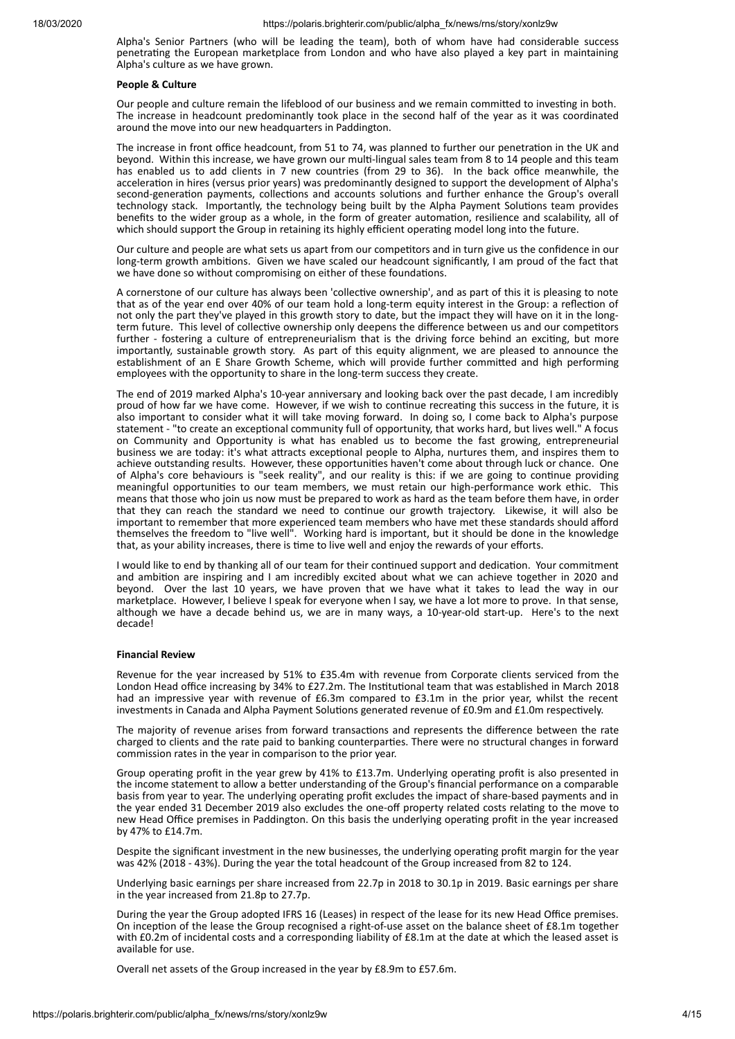Alpha's Senior Partners (who will be leading the team), both of whom have had considerable success penetrating the European marketplace from London and who have also played a key part in maintaining Alpha's culture as we have grown.

#### **People & Culture**

Our people and culture remain the lifeblood of our business and we remain committed to investing in both. The increase in headcount predominantly took place in the second half of the year as it was coordinated around the move into our new headquarters in Paddington.

The increase in front office headcount, from 51 to 74, was planned to further our penetration in the UK and beyond. Within this increase, we have grown our multi-lingual sales team from 8 to 14 people and this team has enabled us to add clients in 7 new countries (from 29 to 36). In the back office meanwhile, the acceleration in hires (versus prior years) was predominantly designed to support the development of Alpha's second-generation payments, collections and accounts solutions and further enhance the Group's overall technology stack. Importantly, the technology being built by the Alpha Payment Solutions team provides benefits to the wider group as a whole, in the form of greater automation, resilience and scalability, all of which should support the Group in retaining its highly efficient operating model long into the future.

Our culture and people are what sets us apart from our competitors and in turn give us the confidence in our long-term growth ambitions. Given we have scaled our headcount significantly, I am proud of the fact that we have done so without compromising on either of these foundations.

A cornerstone of our culture has always been 'collective ownership', and as part of this it is pleasing to note that as of the year end over 40% of our team hold a long-term equity interest in the Group: a reflection of not only the part they've played in this growth story to date, but the impact they will have on it in the longterm future. This level of collective ownership only deepens the difference between us and our competitors further - fostering a culture of entrepreneurialism that is the driving force behind an exciting, but more importantly, sustainable growth story. As part of this equity alignment, we are pleased to announce the establishment of an E Share Growth Scheme, which will provide further committed and high performing employees with the opportunity to share in the long-term success they create.

The end of 2019 marked Alpha's 10-year anniversary and looking back over the past decade, I am incredibly proud of how far we have come. However, if we wish to continue recreating this success in the future, it is also important to consider what it will take moving forward. In doing so, I come back to Alpha's purpose statement - "to create an exceptional community full of opportunity, that works hard, but lives well." A focus on Community and Opportunity is what has enabled us to become the fast growing, entrepreneurial business we are today: it's what attracts exceptional people to Alpha, nurtures them, and inspires them to achieve outstanding results. However, these opportunities haven't come about through luck or chance. One of Alpha's core behaviours is "seek reality", and our reality is this: if we are going to continue providing meaningful opportunities to our team members, we must retain our high-performance work ethic. This means that those who join us now must be prepared to work as hard as the team before them have, in order that they can reach the standard we need to continue our growth trajectory. Likewise, it will also be important to remember that more experienced team members who have met these standards should afford themselves the freedom to "live well". Working hard is important, but it should be done in the knowledge that, as your ability increases, there is time to live well and enjoy the rewards of your efforts.

I would like to end by thanking all of our team for their continued support and dedication. Your commitment and ambition are inspiring and I am incredibly excited about what we can achieve together in 2020 and beyond. Over the last 10 years, we have proven that we have what it takes to lead the way in our marketplace. However, I believe I speak for everyone when I say, we have a lot more to prove. In that sense, although we have a decade behind us, we are in many ways, a 10-year-old start-up. Here's to the next decade!

#### **Financial Review**

Revenue for the year increased by 51% to £35.4m with revenue from Corporate clients serviced from the London Head office increasing by 34% to £27.2m. The Institutional team that was established in March 2018 had an impressive year with revenue of £6.3m compared to £3.1m in the prior year, whilst the recent investments in Canada and Alpha Payment Solutions generated revenue of  $E0.9$ m and  $E1.0$ m respectively.

The majority of revenue arises from forward transactions and represents the difference between the rate charged to clients and the rate paid to banking counterparties. There were no structural changes in forward commission rates in the year in comparison to the prior year.

Group operating profit in the year grew by 41% to £13.7m. Underlying operating profit is also presented in the income statement to allow a better understanding of the Group's financial performance on a comparable basis from year to year. The underlying operating profit excludes the impact of share-based payments and in the year ended 31 December 2019 also excludes the one-off property related costs relating to the move to new Head Office premises in Paddington. On this basis the underlying operating profit in the year increased by 47% to £14.7m.

Despite the significant investment in the new businesses, the underlying operating profit margin for the year was 42% (2018 - 43%). During the year the total headcount of the Group increased from 82 to 124.

Underlying basic earnings per share increased from 22.7p in 2018 to 30.1p in 2019. Basic earnings per share in the year increased from 21.8p to 27.7p.

During the year the Group adopted IFRS 16 (Leases) in respect of the lease for its new Head Office premises. On inception of the lease the Group recognised a right-of-use asset on the balance sheet of £8.1m together with £0.2m of incidental costs and a corresponding liability of £8.1m at the date at which the leased asset is available for use.

Overall net assets of the Group increased in the year by £8.9m to £57.6m.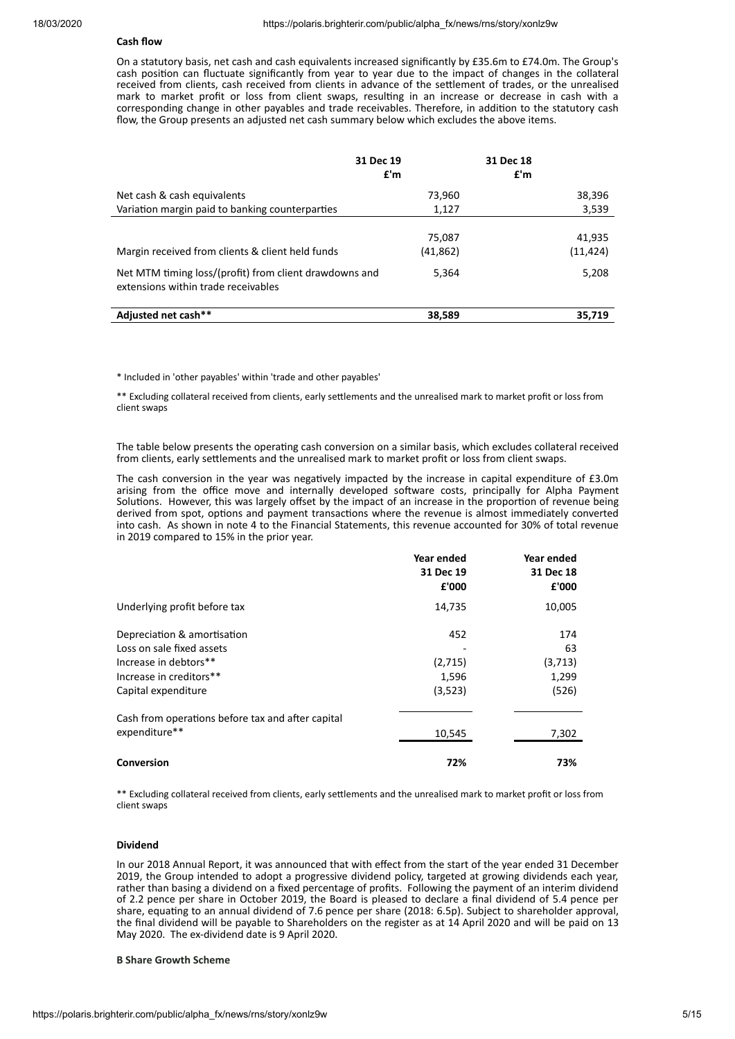# **Cash flow**

On a statutory basis, net cash and cash equivalents increased significantly by £35.6m to £74.0m. The Group's cash position can fluctuate significantly from year to year due to the impact of changes in the collateral received from clients, cash received from clients in advance of the settlement of trades, or the unrealised mark to market profit or loss from client swaps, resulting in an increase or decrease in cash with a corresponding change in other payables and trade receivables. Therefore, in addition to the statutory cash flow, the Group presents an adjusted net cash summary below which excludes the above items.

|                                                                                               | 31 Dec 19<br>f'm    | 31 Dec 18<br>f <sup>th</sup> |                     |
|-----------------------------------------------------------------------------------------------|---------------------|------------------------------|---------------------|
| Net cash & cash equivalents                                                                   | 73,960              |                              | 38,396              |
| Variation margin paid to banking counterparties                                               | 1,127               |                              | 3,539               |
| Margin received from clients & client held funds                                              | 75,087<br>(41, 862) |                              | 41,935<br>(11, 424) |
| Net MTM timing loss/(profit) from client drawdowns and<br>extensions within trade receivables | 5,364               |                              | 5,208               |
| Adjusted net cash**                                                                           | 38,589              |                              | 35.719              |

\* Included in 'other payables' within 'trade and other payables'

\*\* Excluding collateral received from clients, early settlements and the unrealised mark to market profit or loss from client swaps

The table below presents the operating cash conversion on a similar basis, which excludes collateral received from clients, early settlements and the unrealised mark to market profit or loss from client swaps.

The cash conversion in the year was negatively impacted by the increase in capital expenditure of £3.0m arising from the office move and internally developed software costs, principally for Alpha Payment Solutions. However, this was largely offset by the impact of an increase in the proportion of revenue being derived from spot, options and payment transactions where the revenue is almost immediately converted into cash. As shown in note 4 to the Financial Statements, this revenue accounted for 30% of total revenue in 2019 compared to 15% in the prior year.

|                                                   | Year ended | Year ended |
|---------------------------------------------------|------------|------------|
|                                                   | 31 Dec 19  | 31 Dec 18  |
|                                                   | £'000      | £'000      |
| Underlying profit before tax                      | 14,735     | 10,005     |
| Depreciation & amortisation                       | 452        | 174        |
| Loss on sale fixed assets                         |            | 63         |
| Increase in debtors**                             | (2,715)    | (3, 713)   |
| Increase in creditors**                           | 1,596      | 1,299      |
| Capital expenditure                               | (3,523)    | (526)      |
| Cash from operations before tax and after capital |            |            |
| expenditure**                                     | 10,545     | 7,302      |
| Conversion                                        | 72%        | 73%        |

\*\* Excluding collateral received from clients, early settlements and the unrealised mark to market profit or loss from client swaps

#### **Dividend**

In our 2018 Annual Report, it was announced that with effect from the start of the year ended 31 December 2019, the Group intended to adopt a progressive dividend policy, targeted at growing dividends each year, rather than basing a dividend on a fixed percentage of profits. Following the payment of an interim dividend of 2.2 pence per share in October 2019, the Board is pleased to declare a final dividend of 5.4 pence per share, equating to an annual dividend of 7.6 pence per share (2018: 6.5p). Subject to shareholder approval, the final dividend will be payable to Shareholders on the register as at 14 April 2020 and will be paid on 13 May 2020. The ex-dividend date is 9 April 2020.

#### **B Share Growth Scheme**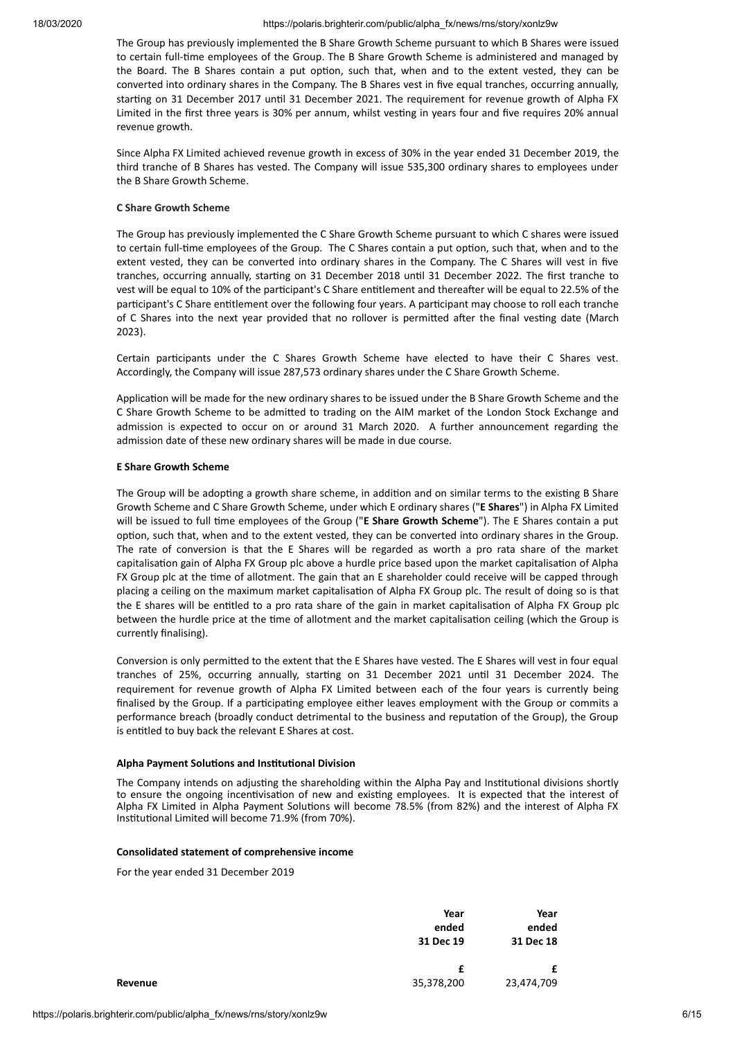The Group has previously implemented the B Share Growth Scheme pursuant to which B Shares were issued to certain full-me employees of the Group. The B Share Growth Scheme is administered and managed by the Board. The B Shares contain a put option, such that, when and to the extent vested, they can be converted into ordinary shares in the Company. The B Shares vest in five equal tranches, occurring annually, starting on 31 December 2017 until 31 December 2021. The requirement for revenue growth of Alpha FX Limited in the first three years is 30% per annum, whilst vesting in years four and five requires 20% annual revenue growth.

Since Alpha FX Limited achieved revenue growth in excess of 30% in the year ended 31 December 2019, the third tranche of B Shares has vested. The Company will issue 535,300 ordinary shares to employees under the B Share Growth Scheme.

## **C Share Growth Scheme**

The Group has previously implemented the C Share Growth Scheme pursuant to which C shares were issued to certain full-time employees of the Group. The C Shares contain a put option, such that, when and to the extent vested, they can be converted into ordinary shares in the Company. The C Shares will vest in five tranches, occurring annually, starting on 31 December 2018 until 31 December 2022. The first tranche to vest will be equal to 10% of the participant's C Share entitlement and thereafter will be equal to 22.5% of the participant's C Share entitlement over the following four years. A participant may choose to roll each tranche of C Shares into the next year provided that no rollover is permitted after the final vesting date (March 2023).

Certain participants under the C Shares Growth Scheme have elected to have their C Shares vest. Accordingly, the Company will issue 287,573 ordinary shares under the C Share Growth Scheme.

Application will be made for the new ordinary shares to be issued under the B Share Growth Scheme and the C Share Growth Scheme to be admitted to trading on the AIM market of the London Stock Exchange and admission is expected to occur on or around 31 March 2020. A further announcement regarding the admission date of these new ordinary shares will be made in due course.

## **E Share Growth Scheme**

The Group will be adopting a growth share scheme, in addition and on similar terms to the existing B Share Growth Scheme and C Share Growth Scheme, under which E ordinary shares ("**E Shares**") in Alpha FX Limited will be issued to full me employees of the Group ("**E Share Growth Scheme**"). The E Shares contain a put option, such that, when and to the extent vested, they can be converted into ordinary shares in the Group. The rate of conversion is that the E Shares will be regarded as worth a pro rata share of the market capitalisation gain of Alpha FX Group plc above a hurdle price based upon the market capitalisation of Alpha FX Group plc at the time of allotment. The gain that an E shareholder could receive will be capped through placing a ceiling on the maximum market capitalisation of Alpha FX Group plc. The result of doing so is that the E shares will be entitled to a pro rata share of the gain in market capitalisation of Alpha FX Group plc between the hurdle price at the time of allotment and the market capitalisation ceiling (which the Group is currently finalising).

Conversion is only permitted to the extent that the E Shares have vested. The E Shares will vest in four equal tranches of 25%, occurring annually, starting on 31 December 2021 until 31 December 2024. The requirement for revenue growth of Alpha FX Limited between each of the four years is currently being finalised by the Group. If a participating employee either leaves employment with the Group or commits a performance breach (broadly conduct detrimental to the business and reputation of the Group), the Group is entitled to buy back the relevant E Shares at cost.

## **Alpha Payment Solutions and Institutional Division**

The Company intends on adjusting the shareholding within the Alpha Pay and Institutional divisions shortly to ensure the ongoing incentivisation of new and existing employees. It is expected that the interest of Alpha FX Limited in Alpha Payment Solutions will become 78.5% (from 82%) and the interest of Alpha FX Institutional Limited will become 71.9% (from 70%).

## **Consolidated statement of comprehensive income**

For the year ended 31 December 2019

|         | Year<br>ended<br>31 Dec 19 | Year<br>ended<br>31 Dec 18 |
|---------|----------------------------|----------------------------|
| Revenue | £<br>35,378,200            | £<br>23,474,709            |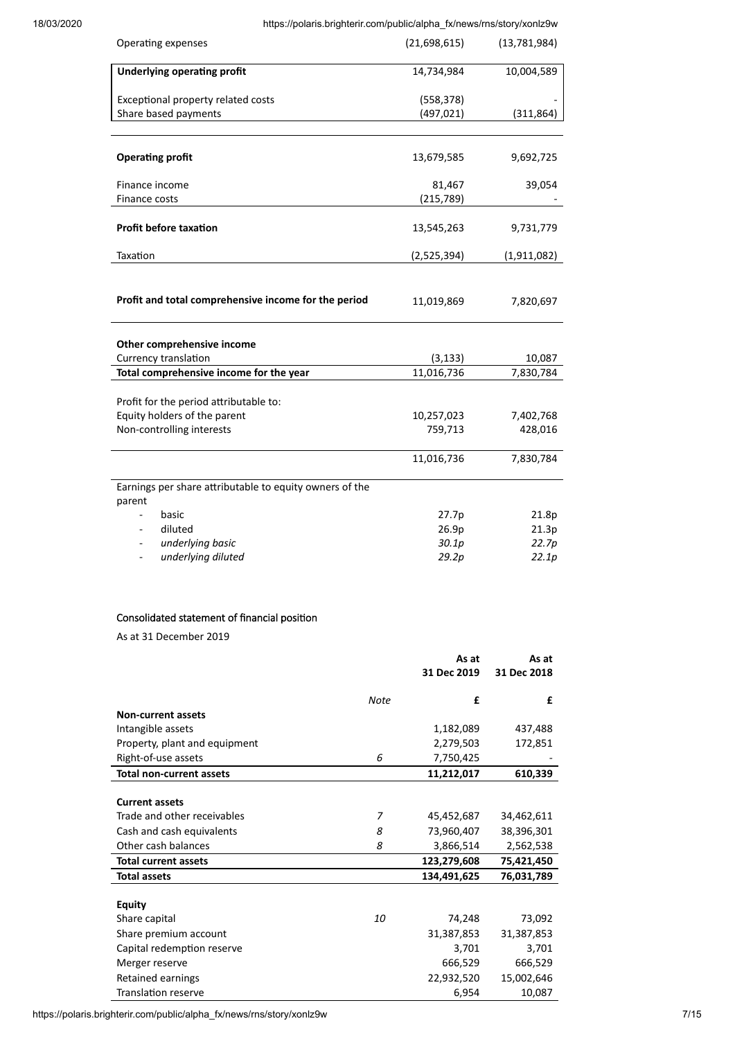| Operating expenses                                                | (21,698,615) | (13,781,984) |
|-------------------------------------------------------------------|--------------|--------------|
| <b>Underlying operating profit</b>                                | 14,734,984   | 10,004,589   |
| Exceptional property related costs                                | (558, 378)   |              |
| Share based payments                                              | (497, 021)   | (311, 864)   |
|                                                                   |              |              |
| <b>Operating profit</b>                                           | 13,679,585   | 9,692,725    |
| Finance income                                                    | 81,467       | 39,054       |
| Finance costs                                                     | (215, 789)   |              |
| <b>Profit before taxation</b>                                     | 13,545,263   | 9,731,779    |
| Taxation                                                          | (2,525,394)  | (1,911,082)  |
| Profit and total comprehensive income for the period              | 11,019,869   | 7,820,697    |
| Other comprehensive income                                        |              |              |
| Currency translation                                              | (3, 133)     | 10,087       |
| Total comprehensive income for the year                           | 11,016,736   | 7,830,784    |
| Profit for the period attributable to:                            |              |              |
| Equity holders of the parent                                      | 10,257,023   | 7,402,768    |
| Non-controlling interests                                         | 759,713      | 428,016      |
|                                                                   | 11,016,736   | 7,830,784    |
| Earnings per share attributable to equity owners of the<br>parent |              |              |
| basic<br>$\blacksquare$                                           | 27.7p        | 21.8p        |
| diluted                                                           | 26.9p        | 21.3p        |
| underlying basic<br>$\overline{\phantom{0}}$                      | 30.1p        | 22.7p        |
| underlying diluted<br>$\blacksquare$                              | 29.2p        | 22.1p        |
| Consolidated statement of financial position                      |              |              |

As at 31 December 2019

|                                 |      | As at<br>31 Dec 2019 | As at<br>31 Dec 2018 |
|---------------------------------|------|----------------------|----------------------|
|                                 | Note | £                    | £                    |
| <b>Non-current assets</b>       |      |                      |                      |
| Intangible assets               |      | 1,182,089            | 437,488              |
| Property, plant and equipment   |      | 2,279,503            | 172,851              |
| Right-of-use assets             | 6    | 7,750,425            |                      |
| <b>Total non-current assets</b> |      | 11,212,017           | 610,339              |
|                                 |      |                      |                      |
| <b>Current assets</b>           |      |                      |                      |
| Trade and other receivables     | 7    | 45,452,687           | 34,462,611           |
| Cash and cash equivalents       | 8    | 73,960,407           | 38,396,301           |
| Other cash balances             | 8    | 3,866,514            | 2,562,538            |
| <b>Total current assets</b>     |      | 123,279,608          | 75,421,450           |
| <b>Total assets</b>             |      | 134,491,625          | 76,031,789           |
|                                 |      |                      |                      |
| <b>Equity</b>                   |      |                      |                      |
| Share capital                   | 10   | 74,248               | 73,092               |
| Share premium account           |      | 31,387,853           | 31,387,853           |
| Capital redemption reserve      |      | 3,701                | 3,701                |
| Merger reserve                  |      | 666,529              | 666,529              |
| Retained earnings               |      | 22,932,520           | 15,002,646           |
| <b>Translation reserve</b>      |      | 6,954                | 10,087               |

https://polaris.brighterir.com/public/alpha\_fx/news/rns/story/xonlz9w 7/15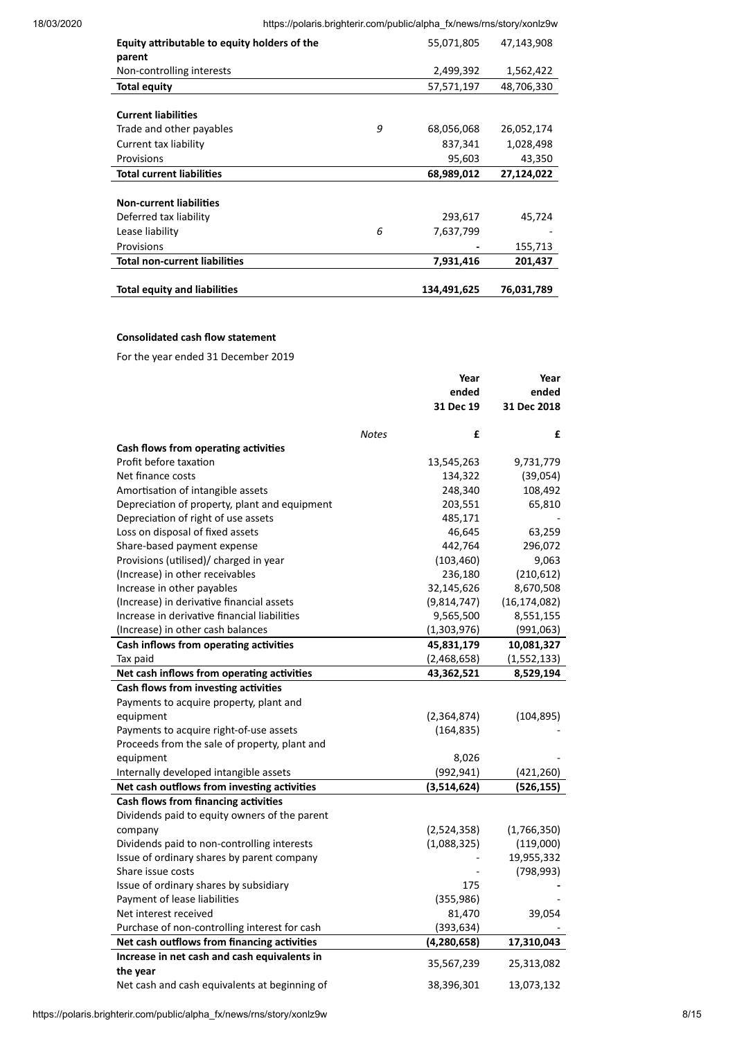| Equity attributable to equity holders of the |   | 55,071,805  | 47,143,908 |
|----------------------------------------------|---|-------------|------------|
| parent                                       |   |             |            |
| Non-controlling interests                    |   | 2,499,392   | 1,562,422  |
| <b>Total equity</b>                          |   | 57,571,197  | 48,706,330 |
|                                              |   |             |            |
| <b>Current liabilities</b>                   |   |             |            |
| Trade and other payables                     | 9 | 68,056,068  | 26,052,174 |
| Current tax liability                        |   | 837,341     | 1,028,498  |
| Provisions                                   |   | 95,603      | 43,350     |
| <b>Total current liabilities</b>             |   | 68,989,012  | 27,124,022 |
|                                              |   |             |            |
| <b>Non-current liabilities</b>               |   |             |            |
| Deferred tax liability                       |   | 293,617     | 45,724     |
| Lease liability                              | 6 | 7,637,799   |            |
| Provisions                                   |   |             | 155,713    |
| <b>Total non-current liabilities</b>         |   | 7,931,416   | 201,437    |
|                                              |   |             |            |
| <b>Total equity and liabilities</b>          |   | 134,491,625 | 76,031,789 |

# **Consolidated cash flow statement**

For the year ended 31 December 2019

|                                               | Year              | Year           |
|-----------------------------------------------|-------------------|----------------|
|                                               | ended             | ended          |
|                                               | 31 Dec 19         | 31 Dec 2018    |
|                                               | <b>Notes</b><br>£ | £              |
| Cash flows from operating activities          |                   |                |
| Profit before taxation                        | 13,545,263        | 9,731,779      |
| Net finance costs                             | 134,322           | (39,054)       |
| Amortisation of intangible assets             | 248,340           | 108,492        |
| Depreciation of property, plant and equipment | 203,551           | 65,810         |
| Depreciation of right of use assets           | 485,171           |                |
| Loss on disposal of fixed assets              | 46,645            | 63,259         |
| Share-based payment expense                   | 442,764           | 296,072        |
| Provisions (utilised)/ charged in year        | (103, 460)        | 9,063          |
| (Increase) in other receivables               | 236,180           | (210,612)      |
| Increase in other payables                    | 32,145,626        | 8,670,508      |
| (Increase) in derivative financial assets     | (9,814,747)       | (16, 174, 082) |
| Increase in derivative financial liabilities  | 9,565,500         | 8,551,155      |
| (Increase) in other cash balances             | (1,303,976)       | (991,063)      |
| Cash inflows from operating activities        | 45,831,179        | 10,081,327     |
| Tax paid                                      | (2,468,658)       | (1,552,133)    |
| Net cash inflows from operating activities    | 43,362,521        | 8,529,194      |
| Cash flows from investing activities          |                   |                |
| Payments to acquire property, plant and       |                   |                |
| equipment                                     | (2,364,874)       | (104, 895)     |
| Payments to acquire right-of-use assets       | (164, 835)        |                |
| Proceeds from the sale of property, plant and |                   |                |
| equipment                                     | 8,026             |                |
| Internally developed intangible assets        | (992, 941)        | (421, 260)     |
| Net cash outflows from investing activities   | (3,514,624)       | (526, 155)     |
| Cash flows from financing activities          |                   |                |
| Dividends paid to equity owners of the parent |                   |                |
| company                                       | (2,524,358)       | (1,766,350)    |
| Dividends paid to non-controlling interests   | (1,088,325)       | (119,000)      |
| Issue of ordinary shares by parent company    |                   | 19,955,332     |
| Share issue costs                             |                   | (798, 993)     |
| Issue of ordinary shares by subsidiary        | 175               |                |
| Payment of lease liabilities                  | (355, 986)        |                |
| Net interest received                         | 81,470            | 39,054         |
| Purchase of non-controlling interest for cash | (393, 634)        |                |
| Net cash outflows from financing activities   | (4, 280, 658)     | 17,310,043     |
| Increase in net cash and cash equivalents in  |                   |                |
| the year                                      | 35,567,239        | 25,313,082     |
| Net cash and cash equivalents at beginning of | 38,396,301        | 13,073,132     |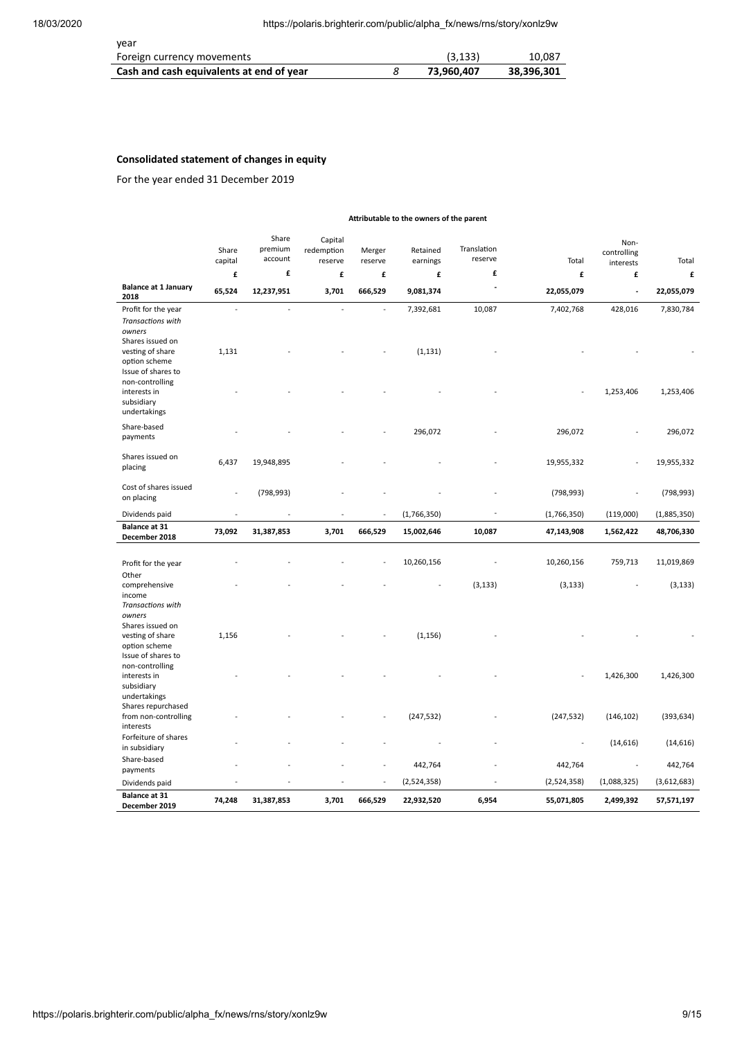| vear                                     |            |            |
|------------------------------------------|------------|------------|
| Foreign currency movements               | (3, 133)   | 10.087     |
| Cash and cash equivalents at end of year | 73.960.407 | 38,396,301 |

# **Consolidated statement of changes in equity**

For the year ended 31 December 2019

| Attributable to the owners of the parent                                                                    |                  |                             |                                  |                          |                       |                        |             |                                  |             |
|-------------------------------------------------------------------------------------------------------------|------------------|-----------------------------|----------------------------------|--------------------------|-----------------------|------------------------|-------------|----------------------------------|-------------|
|                                                                                                             | Share<br>capital | Share<br>premium<br>account | Capital<br>redemption<br>reserve | Merger<br>reserve        | Retained<br>earnings  | Translation<br>reserve | Total       | Non-<br>controlling<br>interests | Total       |
|                                                                                                             | £                | £                           | £                                | £                        | £                     | £                      | £           | £                                | £           |
| <b>Balance at 1 January</b><br>2018                                                                         | 65,524           | 12,237,951                  | 3,701                            | 666,529                  | 9,081,374             | ÷,                     | 22,055,079  | L,                               | 22,055,079  |
| Profit for the year<br>Transactions with<br>owners<br>Shares issued on<br>vesting of share<br>option scheme | L,<br>1,131      | $\overline{a}$              | L,                               | $\overline{a}$           | 7,392,681<br>(1, 131) | 10,087                 | 7,402,768   | 428,016                          | 7,830,784   |
| Issue of shares to<br>non-controlling<br>interests in<br>subsidiary<br>undertakings                         |                  |                             |                                  |                          |                       |                        |             | 1,253,406                        | 1,253,406   |
| Share-based<br>payments                                                                                     |                  |                             |                                  |                          | 296,072               |                        | 296,072     |                                  | 296,072     |
| Shares issued on<br>placing                                                                                 | 6,437            | 19,948,895                  |                                  |                          |                       |                        | 19,955,332  |                                  | 19,955,332  |
| Cost of shares issued<br>on placing                                                                         |                  | (798, 993)                  |                                  |                          |                       |                        | (798, 993)  |                                  | (798, 993)  |
| Dividends paid                                                                                              | ÷                |                             |                                  |                          | (1,766,350)           |                        | (1,766,350) | (119,000)                        | (1,885,350) |
| Balance at 31<br>December 2018                                                                              | 73,092           | 31,387,853                  | 3,701                            | 666,529                  | 15,002,646            | 10,087                 | 47,143,908  | 1,562,422                        | 48,706,330  |
| Profit for the year                                                                                         |                  |                             |                                  |                          | 10,260,156            |                        | 10,260,156  | 759,713                          | 11,019,869  |
| Other<br>comprehensive<br>income<br>Transactions with                                                       |                  |                             |                                  |                          |                       | (3, 133)               | (3, 133)    |                                  | (3, 133)    |
| owners<br>Shares issued on<br>vesting of share<br>option scheme<br>Issue of shares to                       | 1,156            |                             |                                  |                          | (1, 156)              |                        |             |                                  |             |
| non-controlling<br>interests in<br>subsidiary<br>undertakings                                               |                  |                             |                                  |                          |                       |                        |             | 1,426,300                        | 1,426,300   |
| Shares repurchased<br>from non-controlling<br>interests                                                     |                  |                             |                                  |                          | (247, 532)            |                        | (247, 532)  | (146, 102)                       | (393, 634)  |
| Forfeiture of shares<br>in subsidiary                                                                       |                  |                             |                                  |                          |                       |                        | ÷,          | (14, 616)                        | (14, 616)   |
| Share-based<br>payments                                                                                     |                  |                             |                                  |                          | 442,764               |                        | 442,764     |                                  | 442,764     |
| Dividends paid                                                                                              |                  |                             |                                  | $\overline{\phantom{a}}$ | (2,524,358)           |                        | (2,524,358) | (1,088,325)                      | (3,612,683) |
| Balance at 31<br>December 2019                                                                              | 74,248           | 31,387,853                  | 3,701                            | 666,529                  | 22,932,520            | 6,954                  | 55,071,805  | 2,499,392                        | 57,571,197  |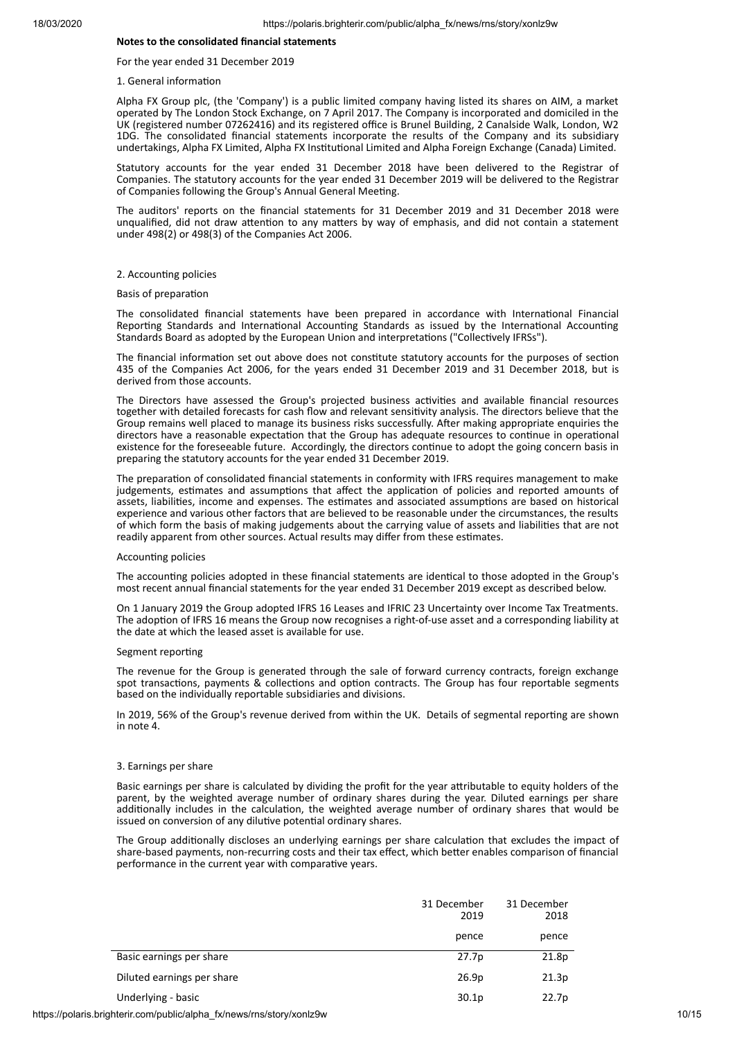## **Notes to the consolidated financial statements**

For the year ended 31 December 2019

1. General information

Alpha FX Group plc, (the 'Company') is a public limited company having listed its shares on AIM, a market operated by The London Stock Exchange, on 7 April 2017. The Company is incorporated and domiciled in the UK (registered number 07262416) and its registered office is Brunel Building, 2 Canalside Walk, London, W2 1DG. The consolidated financial statements incorporate the results of the Company and its subsidiary undertakings, Alpha FX Limited, Alpha FX Institutional Limited and Alpha Foreign Exchange (Canada) Limited.

Statutory accounts for the year ended 31 December 2018 have been delivered to the Registrar of Companies. The statutory accounts for the year ended 31 December 2019 will be delivered to the Registrar of Companies following the Group's Annual General Meeting.

The auditors' reports on the financial statements for 31 December 2019 and 31 December 2018 were unqualified, did not draw attention to any matters by way of emphasis, and did not contain a statement under 498(2) or 498(3) of the Companies Act 2006.

#### 2. Accounting policies

#### Basis of preparation

The consolidated financial statements have been prepared in accordance with International Financial Reporting Standards and International Accounting Standards as issued by the International Accounting Standards Board as adopted by the European Union and interpretations ("Collectively IFRSs").

The financial information set out above does not constitute statutory accounts for the purposes of section 435 of the Companies Act 2006, for the years ended 31 December 2019 and 31 December 2018, but is derived from those accounts.

The Directors have assessed the Group's projected business activities and available financial resources together with detailed forecasts for cash flow and relevant sensivity analysis. The directors believe that the Group remains well placed to manage its business risks successfully. After making appropriate enquiries the directors have a reasonable expectation that the Group has adequate resources to continue in operational existence for the foreseeable future. Accordingly, the directors continue to adopt the going concern basis in preparing the statutory accounts for the year ended 31 December 2019.

The preparation of consolidated financial statements in conformity with IFRS requires management to make judgements, estimates and assumptions that affect the application of policies and reported amounts of assets, liabilities, income and expenses. The estimates and associated assumptions are based on historical experience and various other factors that are believed to be reasonable under the circumstances, the results of which form the basis of making judgements about the carrying value of assets and liabilities that are not readily apparent from other sources. Actual results may differ from these estimates.

#### Accounting policies

The accounting policies adopted in these financial statements are identical to those adopted in the Group's most recent annual financial statements for the year ended 31 December 2019 except as described below.

On 1 January 2019 the Group adopted IFRS 16 Leases and IFRIC 23 Uncertainty over Income Tax Treatments. The adoption of IFRS 16 means the Group now recognises a right-of-use asset and a corresponding liability at the date at which the leased asset is available for use.

#### Segment reporting

The revenue for the Group is generated through the sale of forward currency contracts, foreign exchange spot transactions, payments & collections and option contracts. The Group has four reportable segments based on the individually reportable subsidiaries and divisions.

In 2019, 56% of the Group's revenue derived from within the UK. Details of segmental reporting are shown in note 4.

#### 3. Earnings per share

Basic earnings per share is calculated by dividing the profit for the year attributable to equity holders of the parent, by the weighted average number of ordinary shares during the year. Diluted earnings per share additionally includes in the calculation, the weighted average number of ordinary shares that would be issued on conversion of any dilutive potential ordinary shares.

The Group additionally discloses an underlying earnings per share calculation that excludes the impact of share-based payments, non-recurring costs and their tax effect, which better enables comparison of financial performance in the current year with comparative years.

|                            | 31 December<br>2019 | 31 December<br>2018 |
|----------------------------|---------------------|---------------------|
|                            | pence               | pence               |
| Basic earnings per share   | 27.7p               | 21.8p               |
| Diluted earnings per share | 26.9p               | 21.3p               |
| Underlying - basic         | 30.1 <sub>p</sub>   | 22.7p               |

https://polaris.brighterir.com/public/alpha\_fx/news/rns/story/xonlz9w 10/15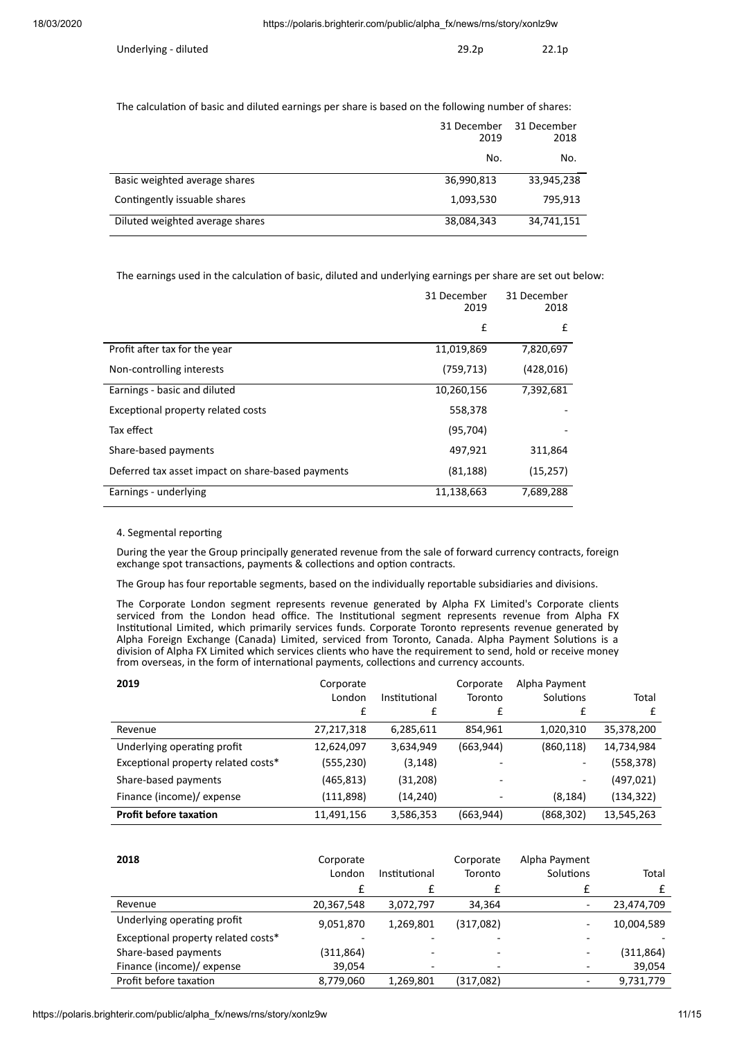| Underlying - diluted | 29.2p | 22.1p |
|----------------------|-------|-------|
|                      |       |       |

The calculation of basic and diluted earnings per share is based on the following number of shares:

|                                 | 31 December<br>2019 | 31 December<br>2018 |
|---------------------------------|---------------------|---------------------|
|                                 | No.                 | No.                 |
| Basic weighted average shares   | 36,990,813          | 33,945,238          |
| Contingently issuable shares    | 1,093,530           | 795,913             |
| Diluted weighted average shares | 38,084,343          | 34,741,151          |

The earnings used in the calculation of basic, diluted and underlying earnings per share are set out below:

|                                                   | 31 December<br>2019 | 31 December<br>2018 |
|---------------------------------------------------|---------------------|---------------------|
|                                                   | £                   | £                   |
| Profit after tax for the year                     | 11,019,869          | 7,820,697           |
| Non-controlling interests                         | (759, 713)          | (428, 016)          |
| Earnings - basic and diluted                      | 10,260,156          | 7,392,681           |
| Exceptional property related costs                | 558,378             |                     |
| Tax effect                                        | (95, 704)           |                     |
| Share-based payments                              | 497,921             | 311,864             |
| Deferred tax asset impact on share-based payments | (81, 188)           | (15, 257)           |
| Earnings - underlying                             | 11,138,663          | 7,689,288           |

## 4. Segmental reporting

During the year the Group principally generated revenue from the sale of forward currency contracts, foreign exchange spot transactions, payments & collections and option contracts.

The Group has four reportable segments, based on the individually reportable subsidiaries and divisions.

The Corporate London segment represents revenue generated by Alpha FX Limited's Corporate clients serviced from the London head office. The Institutional segment represents revenue from Alpha FX Institutional Limited, which primarily services funds. Corporate Toronto represents revenue generated by Alpha Foreign Exchange (Canada) Limited, serviced from Toronto, Canada. Alpha Payment Solutions is a division of Alpha FX Limited which services clients who have the requirement to send, hold or receive money from overseas, in the form of international payments, collections and currency accounts.

| 2019                                | Corporate<br>London<br>£ | Institutional | Corporate<br>Toronto<br>£ | Alpha Payment<br>Solutions | Total      |
|-------------------------------------|--------------------------|---------------|---------------------------|----------------------------|------------|
| Revenue                             | 27,217,318               | 6,285,611     | 854,961                   | 1,020,310                  | 35,378,200 |
| Underlying operating profit         | 12,624,097               | 3,634,949     | (663, 944)                | (860, 118)                 | 14,734,984 |
| Exceptional property related costs* | (555, 230)               | (3, 148)      |                           | -                          | (558, 378) |
| Share-based payments                | (465,813)                | (31, 208)     | -                         | -                          | (497, 021) |
| Finance (income)/ expense           | (111,898)                | (14, 240)     |                           | (8, 184)                   | (134, 322) |
| <b>Profit before taxation</b>       | 11,491,156               | 3,586,353     | (663, 944)                | (868, 302)                 | 13,545,263 |

| 2018                                | Corporate<br>London | Institutional | Corporate<br>Toronto | Alpha Payment<br>Solutions | Total      |
|-------------------------------------|---------------------|---------------|----------------------|----------------------------|------------|
| Revenue                             | 20,367,548          | 3,072,797     | 34,364               |                            | 23,474,709 |
| Underlying operating profit         | 9,051,870           | 1,269,801     | (317,082)            |                            | 10,004,589 |
| Exceptional property related costs* |                     |               |                      |                            |            |
| Share-based payments                | (311, 864)          |               |                      |                            | (311, 864) |
| Finance (income)/ expense           | 39,054              |               |                      |                            | 39,054     |
| Profit before taxation              | 8,779,060           | 1,269,801     | (317,082)            |                            | 9,731,779  |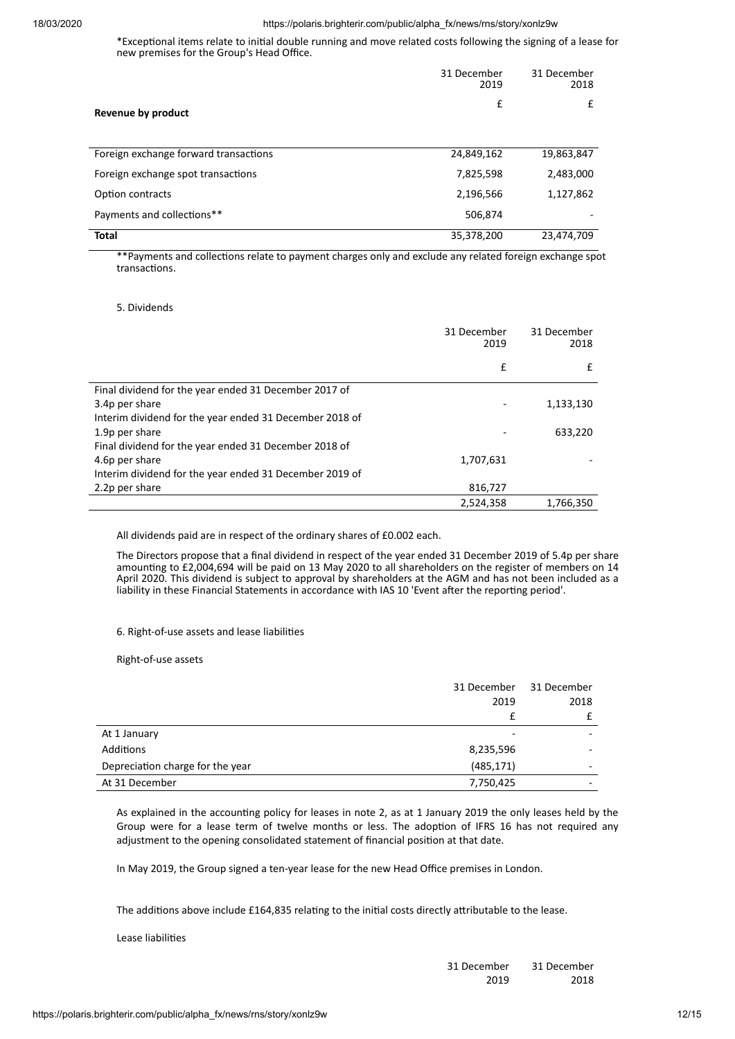\*Exceptional items relate to initial double running and move related costs following the signing of a lease for new premises for the Group's Head Office.

|                                       | 31 December<br>2019 | 31 December<br>2018 |
|---------------------------------------|---------------------|---------------------|
| Revenue by product                    | £                   | £                   |
| Foreign exchange forward transactions | 24,849,162          | 19,863,847          |
| Foreign exchange spot transactions    | 7,825,598           | 2,483,000           |
| Option contracts                      | 2,196,566           | 1,127,862           |
| Payments and collections**            | 506,874             |                     |
| <b>Total</b>                          | 35,378,200          | 23,474,709          |

\*\*Payments and collections relate to payment charges only and exclude any related foreign exchange spot transactions.

## 5. Dividends

|                                                         | 31 December<br>2019 | 31 December<br>2018 |
|---------------------------------------------------------|---------------------|---------------------|
|                                                         | £                   | £                   |
| Final dividend for the year ended 31 December 2017 of   |                     |                     |
| 3.4p per share                                          |                     | 1,133,130           |
| Interim dividend for the year ended 31 December 2018 of |                     |                     |
| 1.9p per share                                          |                     | 633,220             |
| Final dividend for the year ended 31 December 2018 of   |                     |                     |
| 4.6p per share                                          | 1,707,631           |                     |
| Interim dividend for the year ended 31 December 2019 of |                     |                     |
| 2.2p per share                                          | 816,727             |                     |
|                                                         | 2,524,358           | 1,766,350           |

All dividends paid are in respect of the ordinary shares of £0.002 each.

The Directors propose that a final dividend in respect of the year ended 31 December 2019 of 5.4p per share amounting to £2,004,694 will be paid on 13 May 2020 to all shareholders on the register of members on 14 April 2020. This dividend is subject to approval by shareholders at the AGM and has not been included as a liability in these Financial Statements in accordance with IAS 10 'Event aer the reporng period'.

## 6. Right-of-use assets and lease liabilies

Right-of-use assets

|                                  | 31 December<br>2019 | 31 December<br>2018      |
|----------------------------------|---------------------|--------------------------|
| At 1 January                     |                     |                          |
| <b>Additions</b>                 | 8,235,596           | -                        |
| Depreciation charge for the year | (485, 171)          | -                        |
| At 31 December                   | 7,750,425           | $\overline{\phantom{0}}$ |

As explained in the accounting policy for leases in note 2, as at 1 January 2019 the only leases held by the Group were for a lease term of twelve months or less. The adoption of IFRS 16 has not required any adjustment to the opening consolidated statement of financial position at that date.

In May 2019, the Group signed a ten-year lease for the new Head Office premises in London.

The additions above include £164,835 relating to the initial costs directly attributable to the lease.

Lease liabilities

| 31 December | 31 December |
|-------------|-------------|
| 2019        | 2018        |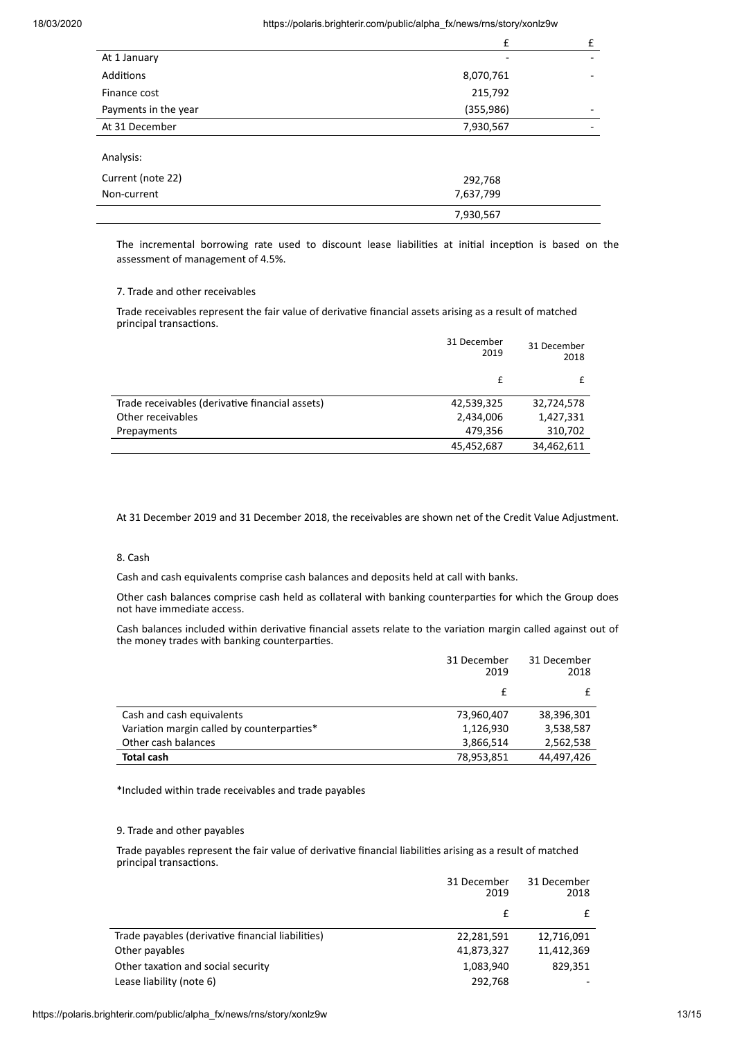|                      | f          | £                        |
|----------------------|------------|--------------------------|
| At 1 January         |            |                          |
| Additions            | 8,070,761  | -                        |
| Finance cost         | 215,792    |                          |
| Payments in the year | (355, 986) | $\overline{\phantom{0}}$ |
| At 31 December       | 7,930,567  |                          |
| Analysis:            |            |                          |
| Current (note 22)    | 292,768    |                          |
| Non-current          | 7,637,799  |                          |
|                      | 7,930,567  |                          |

The incremental borrowing rate used to discount lease liabilities at initial inception is based on the assessment of management of 4.5%.

## 7. Trade and other receivables

Trade receivables represent the fair value of derivative financial assets arising as a result of matched principal transactions.

|                                                 | 31 December<br>2019 | 31 December<br>2018 |
|-------------------------------------------------|---------------------|---------------------|
|                                                 |                     |                     |
| Trade receivables (derivative financial assets) | 42,539,325          | 32,724,578          |
| Other receivables                               | 2,434,006           | 1,427,331           |
| Prepayments                                     | 479,356             | 310,702             |
|                                                 | 45,452,687          | 34,462,611          |

At 31 December 2019 and 31 December 2018, the receivables are shown net of the Credit Value Adjustment.

## 8. Cash

Cash and cash equivalents comprise cash balances and deposits held at call with banks.

Other cash balances comprise cash held as collateral with banking counterparties for which the Group does not have immediate access.

Cash balances included within derivative financial assets relate to the variation margin called against out of the money trades with banking counterparties.

|                                            | 31 December<br>2019 | 31 December<br>2018 |
|--------------------------------------------|---------------------|---------------------|
|                                            |                     |                     |
| Cash and cash equivalents                  | 73,960,407          | 38,396,301          |
| Variation margin called by counterparties* | 1,126,930           | 3,538,587           |
| Other cash balances                        | 3,866,514           | 2,562,538           |
| <b>Total cash</b>                          | 78,953,851          | 44,497,426          |

\*Included within trade receivables and trade payables

## 9. Trade and other payables

Trade payables represent the fair value of derivative financial liabilities arising as a result of matched principal transactions.

|                                                   | 31 December<br>2019 | 31 December<br>2018 |
|---------------------------------------------------|---------------------|---------------------|
|                                                   | f                   |                     |
| Trade payables (derivative financial liabilities) | 22,281,591          | 12,716,091          |
| Other payables                                    | 41,873,327          | 11,412,369          |
| Other taxation and social security                | 1,083,940           | 829.351             |
| Lease liability (note 6)                          | 292,768             |                     |